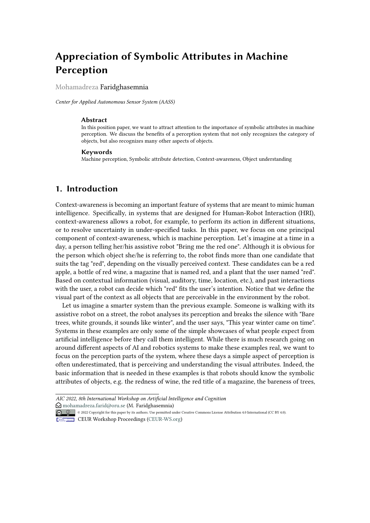# **Appreciation of Symbolic Attributes in Machine Perception**

Mohamadreza Faridghasemnia

*Center for Applied Autonomous Sensor System (AASS)*

#### **Abstract**

In this position paper, we want to attract attention to the importance of symbolic attributes in machine perception. We discuss the benefits of a perception system that not only recognizes the category of objects, but also recognizes many other aspects of objects.

#### **Keywords**

Machine perception, Symbolic attribute detection, Context-awareness, Object understanding

# **1. Introduction**

Context-awareness is becoming an important feature of systems that are meant to mimic human intelligence. Specifically, in systems that are designed for Human-Robot Interaction (HRI), context-awareness allows a robot, for example, to perform its action in different situations, or to resolve uncertainty in under-specified tasks. In this paper, we focus on one principal component of context-awareness, which is machine perception. Let's imagine at a time in a day, a person telling her/his assistive robot "Bring me the red one". Although it is obvious for the person which object she/he is referring to, the robot finds more than one candidate that suits the tag "red", depending on the visually perceived context. These candidates can be a red apple, a bottle of red wine, a magazine that is named red, and a plant that the user named "red". Based on contextual information (visual, auditory, time, location, etc.), and past interactions with the user, a robot can decide which "red" fits the user's intention. Notice that we define the visual part of the context as all objects that are perceivable in the environment by the robot.

Let us imagine a smarter system than the previous example. Someone is walking with its assistive robot on a street, the robot analyses its perception and breaks the silence with "Bare trees, white grounds, it sounds like winter", and the user says, "This year winter came on time". Systems in these examples are only some of the simple showcases of what people expect from artificial intelligence before they call them intelligent. While there is much research going on around different aspects of AI and robotics systems to make these examples real, we want to focus on the perception parts of the system, where these days a simple aspect of perception is often underestimated, that is perceiving and understanding the visual attributes. Indeed, the basic information that is needed in these examples is that robots should know the symbolic attributes of objects, e.g. the redness of wine, the red title of a magazine, the bareness of trees,

*AIC 2022, 8th International Workshop on Artificial Intelligence and Cognition*  $\bigcirc$  [mohamadreza.farid@oru.se](mailto:mohamadreza.farid@oru.se) (M. Faridghasemnia)

© 2022 Copyright for this paper by its authors. Use permitted under Creative Commons License Attribution 4.0 International (CC BY 4.0).

**CEUR Workshop [Proceedings](http://ceur-ws.org) [\(CEUR-WS.org\)](http://ceur-ws.org)**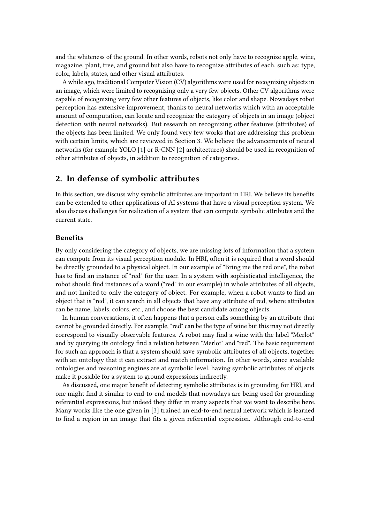and the whiteness of the ground. In other words, robots not only have to recognize apple, wine, magazine, plant, tree, and ground but also have to recognize attributes of each, such as: type, color, labels, states, and other visual attributes.

A while ago, traditional Computer Vision (CV) algorithms were used for recognizing objects in an image, which were limited to recognizing only a very few objects. Other CV algorithms were capable of recognizing very few other features of objects, like color and shape. Nowadays robot perception has extensive improvement, thanks to neural networks which with an acceptable amount of computation, can locate and recognize the category of objects in an image (object detection with neural networks). But research on recognizing other features (attributes) of the objects has been limited. We only found very few works that are addressing this problem with certain limits, which are reviewed in Section 3. We believe the advancements of neural networks (for example YOLO [\[1\]](#page-3-0) or R-CNN [\[2\]](#page-4-0) architectures) should be used in recognition of other attributes of objects, in addition to recognition of categories.

# **2. In defense of symbolic attributes**

In this section, we discuss why symbolic attributes are important in HRI. We believe its benefits can be extended to other applications of AI systems that have a visual perception system. We also discuss challenges for realization of a system that can compute symbolic attributes and the current state.

### **Benefits**

By only considering the category of objects, we are missing lots of information that a system can compute from its visual perception module. In HRI, often it is required that a word should be directly grounded to a physical object. In our example of "Bring me the red one", the robot has to find an instance of "red" for the user. In a system with sophisticated intelligence, the robot should find instances of a word ("red" in our example) in whole attributes of all objects, and not limited to only the category of object. For example, when a robot wants to find an object that is "red", it can search in all objects that have any attribute of red, where attributes can be name, labels, colors, etc., and choose the best candidate among objects.

In human conversations, it often happens that a person calls something by an attribute that cannot be grounded directly. For example, "red" can be the type of wine but this may not directly correspond to visually observable features. A robot may find a wine with the label "Merlot" and by querying its ontology find a relation between "Merlot" and "red". The basic requirement for such an approach is that a system should save symbolic attributes of all objects, together with an ontology that it can extract and match information. In other words, since available ontologies and reasoning engines are at symbolic level, having symbolic attributes of objects make it possible for a system to ground expressions indirectly.

As discussed, one major benefit of detecting symbolic attributes is in grounding for HRI, and one might find it similar to end-to-end models that nowadays are being used for grounding referential expressions, but indeed they differ in many aspects that we want to describe here. Many works like the one given in [\[3\]](#page-4-1) trained an end-to-end neural network which is learned to find a region in an image that fits a given referential expression. Although end-to-end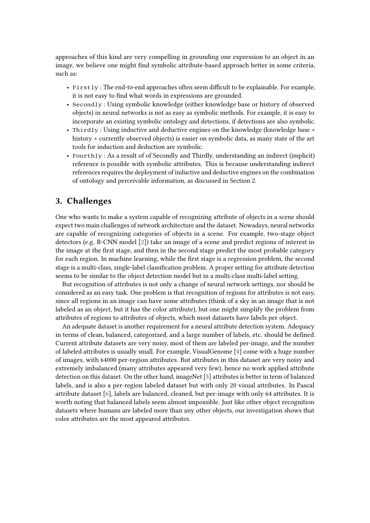approaches of this kind are very compelling in grounding one expression to an object in an image, we believe one might find symbolic attribute-based approach better in some criteria, such as:

- Firstly : The end-to-end approaches often seem difficult to be explainable. For example, it is not easy to find what words in expressions are grounded.
- Secondly : Using symbolic knowledge (either knowledge base or history of observed objects) in neural networks is not as easy as symbolic methods. For example, it is easy to incorporate an existing symbolic ontology and detections, if detections are also symbolic.
- Thirdly : Using inductive and deductive engines on the knowledge (knowledge base + history + currently observed objects) is easier on symbolic data, as many state of the art tools for induction and deduction are symbolic.
- Fourthly : As a result of of Secondly and Thirdly, understanding an indirect (implicit) reference is possible with symbolic attributes. This is because understanding indirect references requires the deployment of inductive and deductive engines on the combination of ontology and perceivable information, as discussed in Section 2.

# **3. Challenges**

One who wants to make a system capable of recognizing attribute of objects in a scene should expect two main challenges of network architecture and the dataset. Nowadays, neural networks are capable of recognizing categories of objects in a scene. For example, two-stage object detectors (e.g. R-CNN model [\[2\]](#page-4-0)) take an image of a scene and predict regions of interest in the image at the first stage, and then in the second stage predict the most probable category for each region. In machine learning, while the first stage is a regression problem, the second stage is a multi-class, single-label classification problem. A proper setting for attribute detection seems to be similar to the object detection model but in a multi-class multi-label setting.

But recognition of attributes is not only a change of neural network settings, nor should be considered as an easy task. One problem is that recognition of regions for attributes is not easy, since all regions in an image can have some attributes (think of a sky in an image that is not labeled as an object, but it has the color attribute), but one might simplify the problem from attributes of regions to attributes of objects, which most datasets have labels per object.

An adequate dataset is another requirement for a neural attribute detection system. Adequacy in terms of clean, balanced, categorized, and a large number of labels, etc. should be defined. Current attribute datasets are very noisy, most of them are labeled per-image, and the number of labeled attributes is usually small. For example, VisualGenome [\[4\]](#page-4-2) come with a huge number of images, with 64000 per-region attributes. But attributes in this dataset are very noisy and extremely imbalanced (many attributes appeared very few), hence no work applied attribute detection on this dataset. On the other hand, imageNet [\[5\]](#page-4-3) attributes is better in term of balanced labels, and is also a per-region labeled dataset but with only 20 visual attributes. In Pascal attribute dataset [\[6\]](#page-4-4), labels are balanced, cleaned, but per-image with only 64 attributes. It is worth noting that balanced labels seem almost impossible. Just like other object recognition datasets where humans are labeled more than any other objects, our investigation shows that color attributes are the most appeared attributes.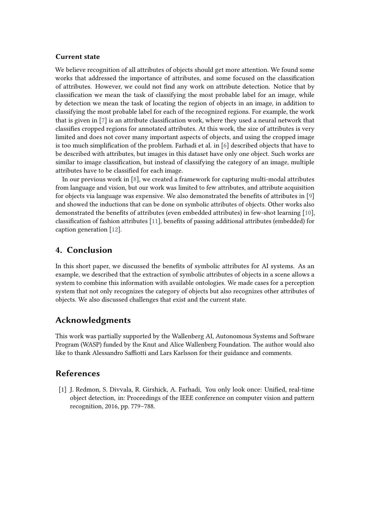### **Current state**

We believe recognition of all attributes of objects should get more attention. We found some works that addressed the importance of attributes, and some focused on the classification of attributes. However, we could not find any work on attribute detection. Notice that by classification we mean the task of classifying the most probable label for an image, while by detection we mean the task of locating the region of objects in an image, in addition to classifying the most probable label for each of the recognized regions. For example, the work that is given in [\[7\]](#page-4-5) is an attribute classification work, where they used a neural network that classifies cropped regions for annotated attributes. At this work, the size of attributes is very limited and does not cover many important aspects of objects, and using the cropped image is too much simplification of the problem. Farhadi et al. in [\[6\]](#page-4-4) described objects that have to be described with attributes, but images in this dataset have only one object. Such works are similar to image classification, but instead of classifying the category of an image, multiple attributes have to be classified for each image.

In our previous work in [\[8\]](#page-4-6), we created a framework for capturing multi-modal attributes from language and vision, but our work was limited to few attributes, and attribute acquisition for objects via language was expensive. We also demonstrated the benefits of attributes in [\[9\]](#page-4-7) and showed the inductions that can be done on symbolic attributes of objects. Other works also demonstrated the benefits of attributes (even embedded attributes) in few-shot learning [\[10\]](#page-4-8), classification of fashion attributes [\[11\]](#page-4-9), benefits of passing additional attributes (embedded) for caption generation [\[12\]](#page-4-10).

# **4. Conclusion**

In this short paper, we discussed the benefits of symbolic attributes for AI systems. As an example, we described that the extraction of symbolic attributes of objects in a scene allows a system to combine this information with available ontologies. We made cases for a perception system that not only recognizes the category of objects but also recognizes other attributes of objects. We also discussed challenges that exist and the current state.

# **Acknowledgments**

This work was partially supported by the Wallenberg AI, Autonomous Systems and Software Program (WASP) funded by the Knut and Alice Wallenberg Foundation. The author would also like to thank Alessandro Saffiotti and Lars Karlsson for their guidance and comments.

# **References**

<span id="page-3-0"></span>[1] J. Redmon, S. Divvala, R. Girshick, A. Farhadi, You only look once: Unified, real-time object detection, in: Proceedings of the IEEE conference on computer vision and pattern recognition, 2016, pp. 779–788.